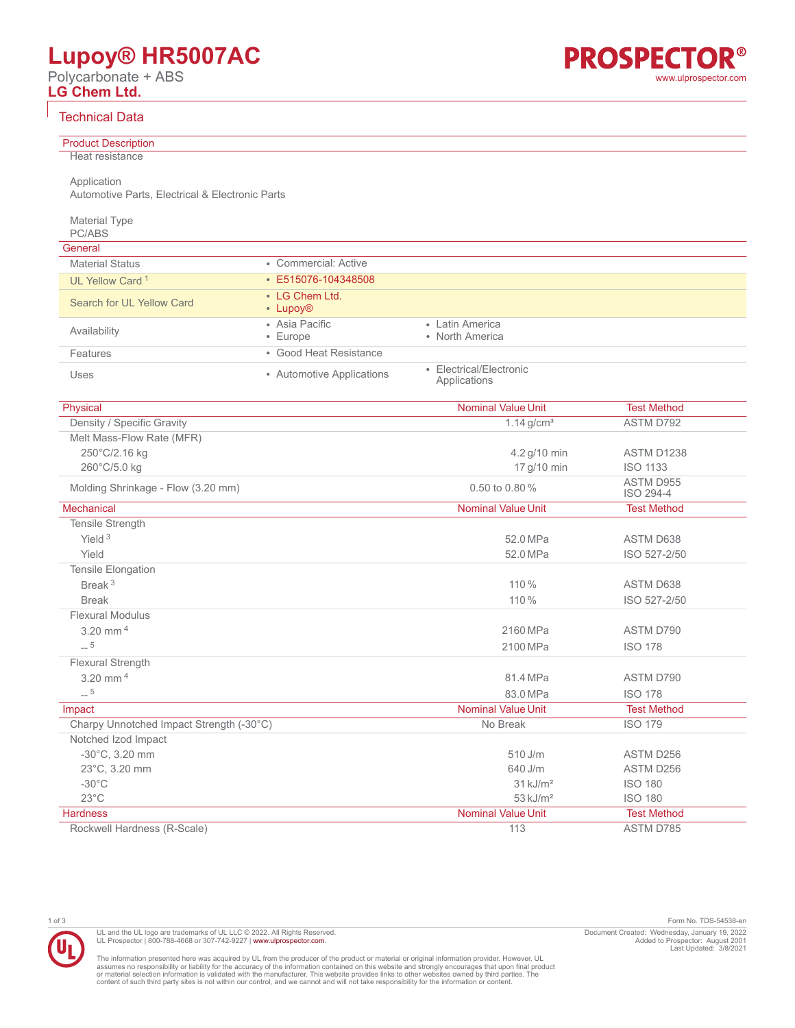# **Lupoy® HR5007AC**

Polycarbonate + ABS **LG Chem Ltd.**



## Technical Data

| <b>Product Description</b>                      |                           |                           |                        |
|-------------------------------------------------|---------------------------|---------------------------|------------------------|
| Heat resistance                                 |                           |                           |                        |
|                                                 |                           |                           |                        |
| Application                                     |                           |                           |                        |
| Automotive Parts, Electrical & Electronic Parts |                           |                           |                        |
|                                                 |                           |                           |                        |
| <b>Material Type</b><br>PC/ABS                  |                           |                           |                        |
| General                                         |                           |                           |                        |
| <b>Material Status</b>                          | • Commercial: Active      |                           |                        |
|                                                 |                           |                           |                        |
| UL Yellow Card <sup>1</sup>                     | ● E515076-104348508       |                           |                        |
| Search for UL Yellow Card                       | • LG Chem Ltd.            |                           |                        |
|                                                 | • Lupoy <sup>®</sup>      |                           |                        |
| Availability                                    | • Asia Pacific            | • Latin America           |                        |
|                                                 | • Europe                  | • North America           |                        |
| Features                                        | • Good Heat Resistance    |                           |                        |
| Uses                                            | • Automotive Applications | • Electrical/Electronic   |                        |
|                                                 |                           | Applications              |                        |
|                                                 |                           | <b>Nominal Value Unit</b> | <b>Test Method</b>     |
| Physical                                        |                           |                           | <b>ASTM D792</b>       |
| Density / Specific Gravity                      |                           | $1.14$ g/cm <sup>3</sup>  |                        |
| Melt Mass-Flow Rate (MFR)                       |                           |                           |                        |
| 250°C/2.16 kg                                   |                           | 4.2 g/10 min              | ASTM D1238             |
| 260°C/5.0 kg                                    |                           | 17 g/10 min               | <b>ISO 1133</b>        |
| Molding Shrinkage - Flow (3.20 mm)              |                           | 0.50 to 0.80%             | ASTM D955<br>ISO 294-4 |
| <b>Mechanical</b>                               |                           | <b>Nominal Value Unit</b> | <b>Test Method</b>     |
| Tensile Strength                                |                           |                           |                        |
| Yield $3$                                       |                           | 52.0 MPa                  | ASTM D638              |
| Yield                                           |                           |                           |                        |
|                                                 |                           | 52.0 MPa                  | ISO 527-2/50           |
| Tensile Elongation                              |                           |                           |                        |
| Break $3$                                       |                           | 110%                      | ASTM D638              |
| <b>Break</b>                                    |                           | 110 %                     | ISO 527-2/50           |
| <b>Flexural Modulus</b>                         |                           |                           |                        |
| 3.20 mm $4$                                     |                           | 2160 MPa                  | ASTM D790              |
| $-5$                                            |                           | 2100 MPa                  | <b>ISO 178</b>         |
| <b>Flexural Strength</b>                        |                           |                           |                        |
| 3.20 mm $4$                                     |                           | 81.4 MPa                  | ASTM D790              |
| $-5$                                            |                           | 83.0 MPa                  | <b>ISO 178</b>         |
| Impact                                          |                           | <b>Nominal Value Unit</b> | <b>Test Method</b>     |
| Charpy Unnotched Impact Strength (-30°C)        |                           | No Break                  | <b>ISO 179</b>         |
| Notched Izod Impact                             |                           |                           |                        |
| -30°C, 3.20 mm                                  |                           | 510 J/m                   | ASTM D256              |
| 23°C, 3.20 mm                                   |                           | 640 J/m                   | ASTM D256              |
| $-30^{\circ}$ C                                 |                           | $31 \text{ kJ/m}^2$       | <b>ISO 180</b>         |
| $23^{\circ}$ C                                  |                           | $53 \text{ kJ/m}^2$       | <b>ISO 180</b>         |
| <b>Hardness</b>                                 |                           | <b>Nominal Value Unit</b> | <b>Test Method</b>     |
| Rockwell Hardness (R-Scale)                     |                           | 113                       | ASTM D785              |
|                                                 |                           |                           |                        |



UL and the UL logo are trademarks of UL LLC © 2022. All Rights Reserved.<br>UL Prospector | 800-788-4668 or 307-742-9227 | [www.ulprospector.com](http://www.ulprospector.com).

1 of 3 Form No. TDS-54538-en Document Created: Wednesday, January 19, 2022 Added to Prospector: August 2001 Last Updated: 3/8/2021

The information presented here was acquired by UL from the producer of the product or material or original information provider. However, UL<br>assumes no responsibility or liability for the accuracy of the information contai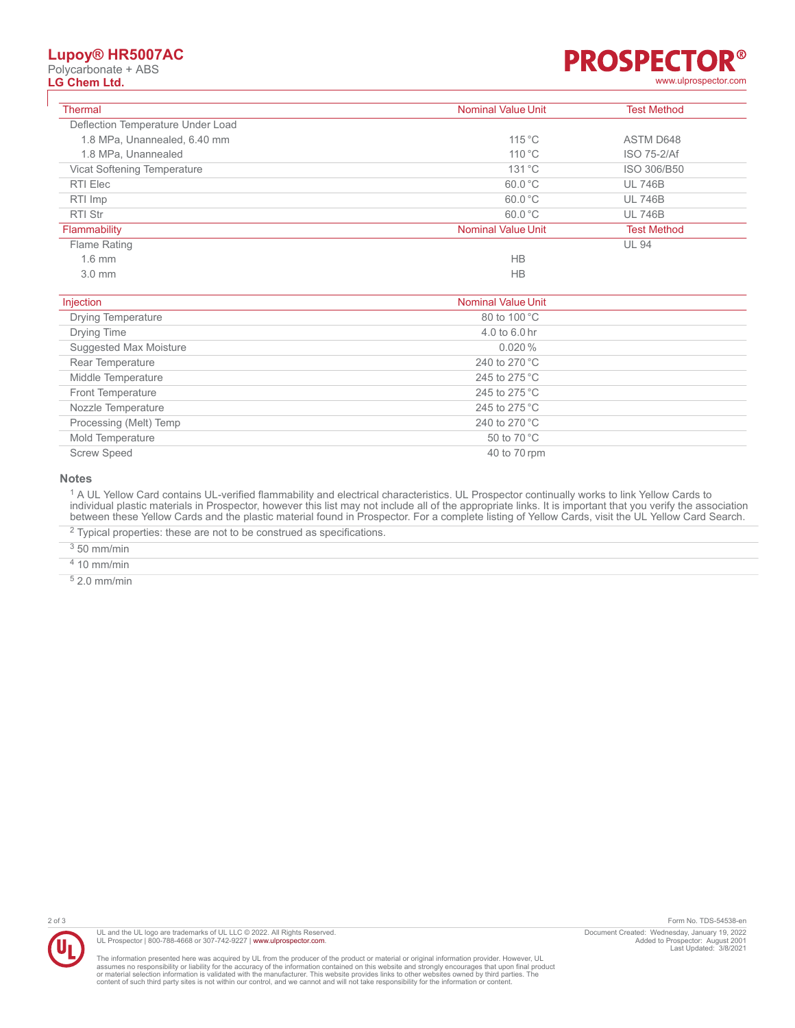# **Lupoy® HR5007AC**

Polycarbonate + ABS<br>**LG Chem Ltd.** 

## R® **PROSPECTO LG Chem Ltd.** [www.ulprospector.com](http://www.ulprospector.com)

| <b>Thermal</b>                    | <b>Nominal Value Unit</b> | <b>Test Method</b> |  |
|-----------------------------------|---------------------------|--------------------|--|
| Deflection Temperature Under Load |                           |                    |  |
| 1.8 MPa, Unannealed, 6.40 mm      | $115^{\circ}$ C           | ASTM D648          |  |
| 1.8 MPa, Unannealed               | $110^{\circ}$ C           | <b>ISO 75-2/Af</b> |  |
| Vicat Softening Temperature       | $131^{\circ}$ C           | ISO 306/B50        |  |
| RTI Elec                          | $60.0 \degree C$          | <b>UL 746B</b>     |  |
| RTI Imp                           | $60.0 \degree C$          | <b>UL 746B</b>     |  |
| RTI Str                           | 60.0 °C                   | <b>UL 746B</b>     |  |
| Flammability                      | <b>Nominal Value Unit</b> | <b>Test Method</b> |  |
| <b>Flame Rating</b>               |                           | <b>UL 94</b>       |  |
| $1.6$ mm                          | <b>HB</b>                 |                    |  |
| $3.0 \text{ mm}$                  | <b>HB</b>                 |                    |  |

| <b>Nominal Value Unit</b> |  |
|---------------------------|--|
| 80 to 100 °C              |  |
| 4.0 to 6.0 hr             |  |
| $0.020\%$                 |  |
| 240 to 270 °C             |  |
| 245 to 275 °C             |  |
| 245 to 275 °C             |  |
| 245 to 275 °C             |  |
| 240 to 270 °C             |  |
| 50 to 70 °C               |  |
| 40 to 70 rpm              |  |
|                           |  |

**Notes**

<sup>1</sup> A UL Yellow Card contains UL-verified flammability and electrical characteristics. UL Prospector continually works to link Yellow Cards to individual plastic materials in Prospector, however this list may not include all of the appropriate links. It is important that you verify the association between these Yellow Cards and the plastic material found in Prospector. For a complete listing of Yellow Cards, visit the UL Yellow Card Search.

 $2$  Typical properties: these are not to be construed as specifications.

3 50 mm/min

4 10 mm/min

5 2.0 mm/min



UL and the UL logo are trademarks of UL LLC © 2022. All Rights Reserved. UL Prospector | 800-788-4668 or 307-742-9227 | [www.ulprospector.com](http://www.ulprospector.com).

2 of 3 Form No. TDS-54538-en Document Created: Wednesday, January 19, 2022 Added to Prospector: August 2001 Last Updated: 3/8/2021

The information presented here was acquired by UL from the producer of the product or material or original information provider. However, UL<br>assumes no responsibility or liability for the accuracy of the information contai